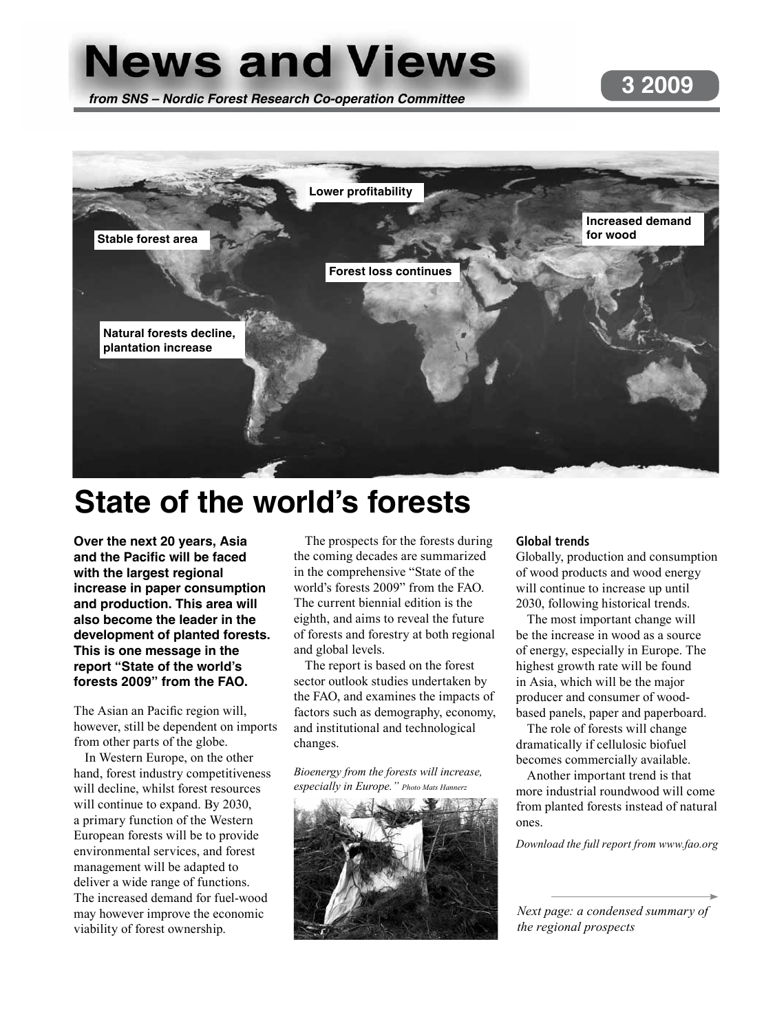# **News and Views**

*from SNS – Nordic Forest Research Co-operation Committee*





# **State of the world's forests**

**Over the next 20 years, Asia and the Pacific will be faced with the largest regional increase in paper consumption and production. This area will also become the leader in the development of planted forests. This is one message in the report "State of the world's forests 2009" from the FAO.** 

The Asian an Pacific region will, however, still be dependent on imports from other parts of the globe.

In Western Europe, on the other hand, forest industry competitiveness will decline, whilst forest resources will continue to expand. By 2030, a primary function of the Western European forests will be to provide environmental services, and forest management will be adapted to deliver a wide range of functions. The increased demand for fuel-wood may however improve the economic viability of forest ownership.

The prospects for the forests during the coming decades are summarized in the comprehensive "State of the world's forests 2009" from the FAO. The current biennial edition is the eighth, and aims to reveal the future of forests and forestry at both regional and global levels.

The report is based on the forest sector outlook studies undertaken by the FAO, and examines the impacts of factors such as demography, economy, and institutional and technological changes.

*Bioenergy from the forests will increase, especially in Europe." Photo Mats Hannerz*



#### **Global trends**

Globally, production and consumption of wood products and wood energy will continue to increase up until 2030, following historical trends.

The most important change will be the increase in wood as a source of energy, especially in Europe. The highest growth rate will be found in Asia, which will be the major producer and consumer of woodbased panels, paper and paperboard.

The role of forests will change dramatically if cellulosic biofuel becomes commercially available.

Another important trend is that more industrial roundwood will come from planted forests instead of natural ones.

*Download the full report from www.fao.org*

*Next page: a condensed summary of the regional prospects*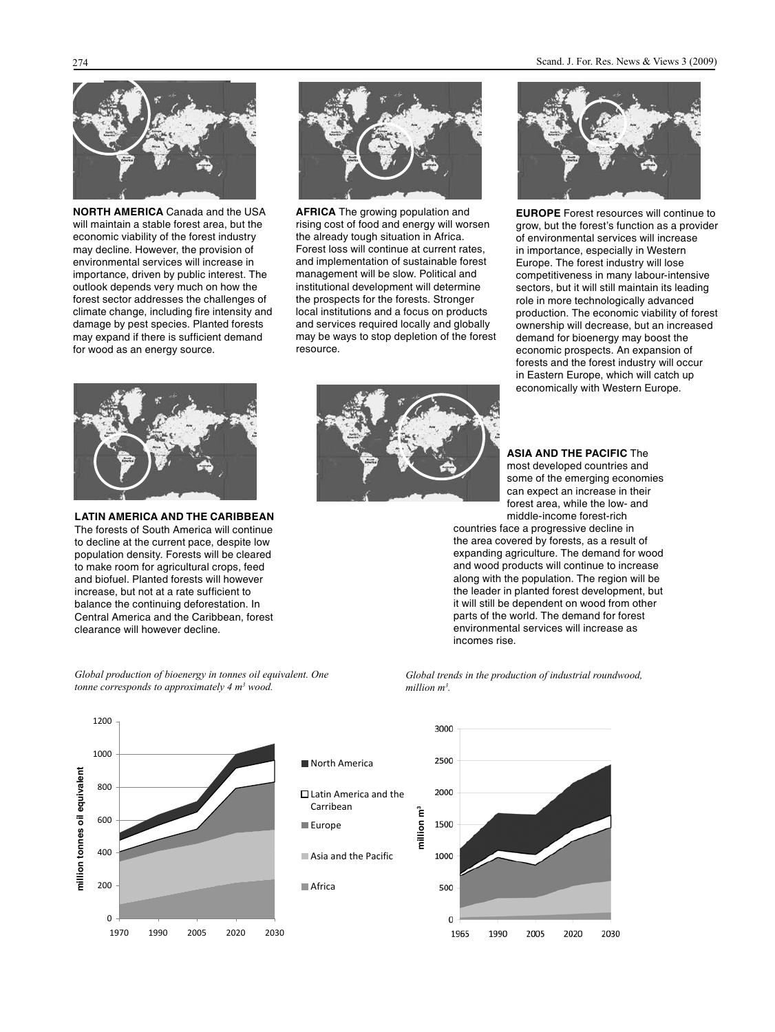

**NORTH AMERICA** Canada and the USA will maintain a stable forest area, but the economic viability of the forest industry may decline. However, the provision of environmental services will increase in importance, driven by public interest. The outlook depends very much on how the forest sector addresses the challenges of climate change, including fire intensity and damage by pest species. Planted forests may expand if there is sufficient demand for wood as an energy source.



**AFRICA** The growing population and rising cost of food and energy will worsen the already tough situation in Africa. Forest loss will continue at current rates, and implementation of sustainable forest management will be slow. Political and institutional development will determine the prospects for the forests. Stronger local institutions and a focus on products and services required locally and globally may be ways to stop depletion of the forest resource.



**EUROPE** Forest resources will continue to grow, but the forest's function as a provider of environmental services will increase in importance, especially in Western Europe. The forest industry will lose competitiveness in many labour-intensive sectors, but it will still maintain its leading role in more technologically advanced production. The economic viability of forest ownership will decrease, but an increased demand for bioenergy may boost the economic prospects. An expansion of forests and the forest industry will occur in Eastern Europe, which will catch up economically with Western Europe.



**LATIN AMERICA AND THE CARIBBEAN** The forests of South America will continue to decline at the current pace, despite low population density. Forests will be cleared to make room for agricultural crops, feed and biofuel. Planted forests will however increase, but not at a rate sufficient to balance the continuing deforestation. In Central America and the Caribbean, forest clearance will however decline.



#### **ASIA AND THE PACIFIC** The

most developed countries and some of the emerging economies can expect an increase in their forest area, while the low- and middle-income forest-rich

countries face a progressive decline in the area covered by forests, as a result of expanding agriculture. The demand for wood and wood products will continue to increase along with the population. The region will be the leader in planted forest development, but it will still be dependent on wood from other parts of the world. The demand for forest environmental services will increase as incomes rise.

*Global trends in the production of industrial roundwood, million m3 .* 



*Global production of bioenergy in tonnes oil equivalent. One tonne corresponds to approximately 4 m3 wood.*

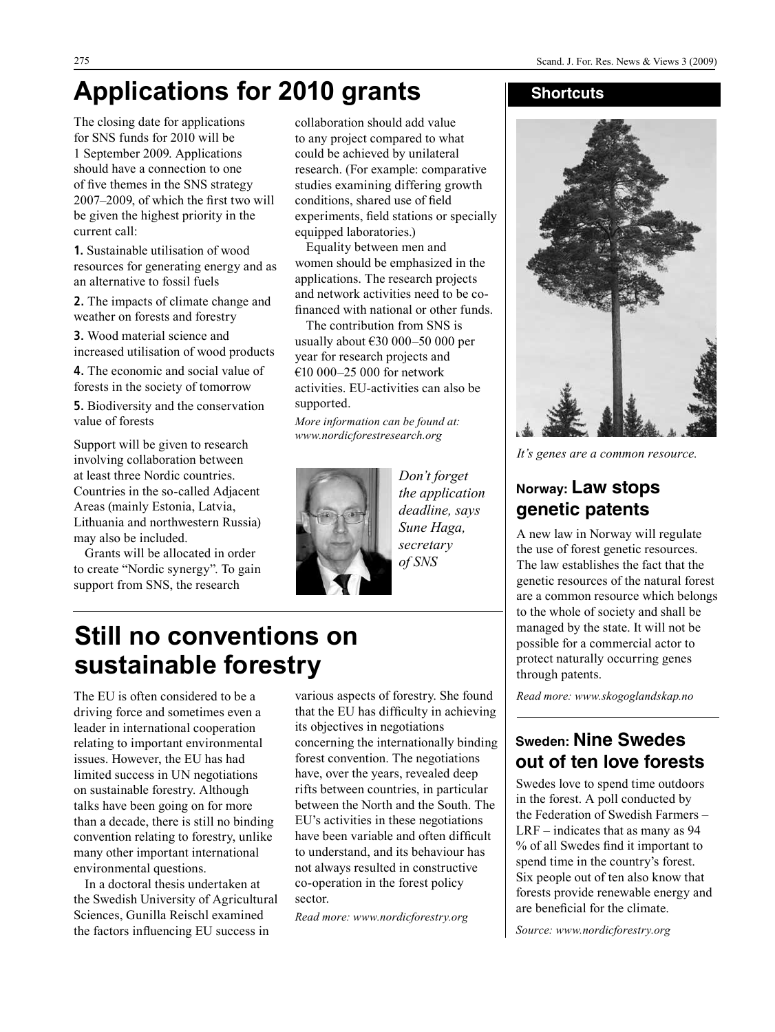# **Applications for 2010 grants**

The closing date for applications for SNS funds for 2010 will be 1 September 2009. Applications should have a connection to one of five themes in the SNS strategy 2007–2009, of which the first two will be given the highest priority in the current call:

**1.** Sustainable utilisation of wood resources for generating energy and as an alternative to fossil fuels

**2.** The impacts of climate change and weather on forests and forestry

**3.** Wood material science and increased utilisation of wood products

**4.** The economic and social value of forests in the society of tomorrow

**5.** Biodiversity and the conservation value of forests

Support will be given to research involving collaboration between at least three Nordic countries. Countries in the so-called Adjacent Areas (mainly Estonia, Latvia, Lithuania and northwestern Russia) may also be included.

Grants will be allocated in order to create "Nordic synergy". To gain support from SNS, the research

collaboration should add value to any project compared to what could be achieved by unilateral research. (For example: comparative studies examining differing growth conditions, shared use of field experiments, field stations or specially equipped laboratories.)

Equality between men and women should be emphasized in the applications. The research projects and network activities need to be cofinanced with national or other funds.

The contribution from SNS is usually about €30 000–50 000 per year for research projects and €10 000–25 000 for network activities. EU-activities can also be supported.

*More information can be found at: www.nordicforestresearch.org* 



*Don't forget the application deadline, says Sune Haga, secretary of SNS*

#### **Shortcuts**



*It's genes are a common resource.*

## **Norway: Law stops genetic patents**

A new law in Norway will regulate the use of forest genetic resources. The law establishes the fact that the genetic resources of the natural forest are a common resource which belongs to the whole of society and shall be managed by the state. It will not be possible for a commercial actor to protect naturally occurring genes through patents.

*Read more: www.skogoglandskap.no*

## **Sweden: Nine Swedes out of ten love forests**

Swedes love to spend time outdoors in the forest. A poll conducted by the Federation of Swedish Farmers – LRF – indicates that as many as 94 % of all Swedes find it important to spend time in the country's forest. Six people out of ten also know that forests provide renewable energy and are beneficial for the climate.

*Source: www.nordicforestry.org*

## **Still no conventions on sustainable forestry**

The EU is often considered to be a driving force and sometimes even a leader in international cooperation relating to important environmental issues. However, the EU has had limited success in UN negotiations on sustainable forestry. Although talks have been going on for more than a decade, there is still no binding convention relating to forestry, unlike many other important international environmental questions.

In a doctoral thesis undertaken at the Swedish University of Agricultural Sciences, Gunilla Reischl examined the factors influencing EU success in

various aspects of forestry. She found that the EU has difficulty in achieving its objectives in negotiations concerning the internationally binding forest convention. The negotiations have, over the years, revealed deep rifts between countries, in particular between the North and the South. The EU's activities in these negotiations have been variable and often difficult to understand, and its behaviour has not always resulted in constructive co-operation in the forest policy sector.

*Read more: www.nordicforestry.org*